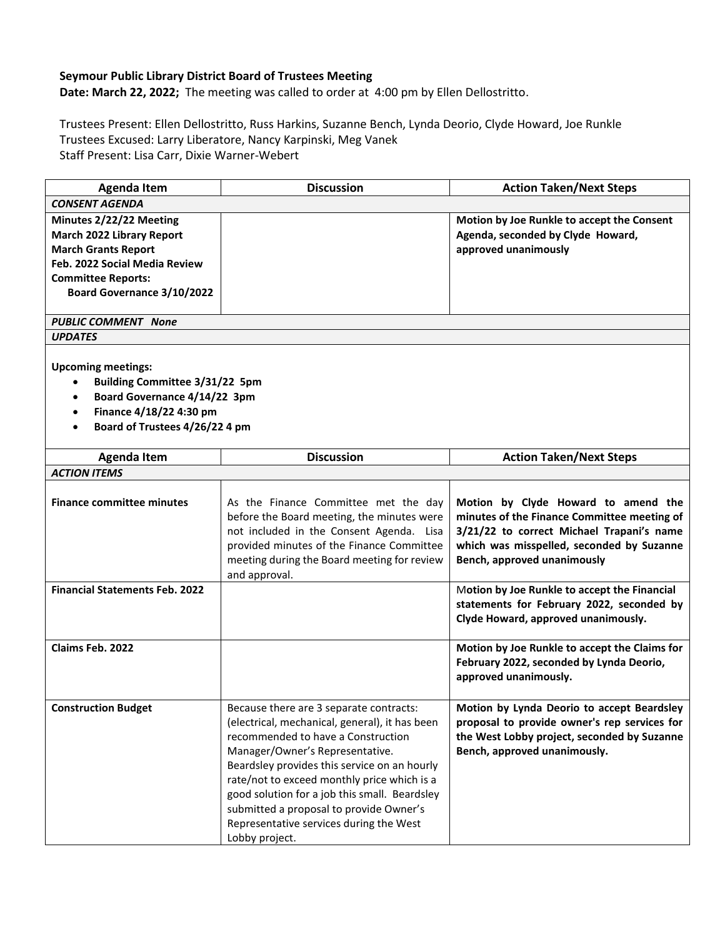## **Seymour Public Library District Board of Trustees Meeting**

**Date: March 22, 2022;** The meeting was called to order at 4:00 pm by Ellen Dellostritto.

Trustees Present: Ellen Dellostritto, Russ Harkins, Suzanne Bench, Lynda Deorio, Clyde Howard, Joe Runkle Trustees Excused: Larry Liberatore, Nancy Karpinski, Meg Vanek Staff Present: Lisa Carr, Dixie Warner-Webert

| <b>Agenda Item</b>                                                                                                                                                                           | <b>Discussion</b>                                                                                                                                                                                                                                                                                                                                                                                                          | <b>Action Taken/Next Steps</b>                                                                                                                                                                              |  |
|----------------------------------------------------------------------------------------------------------------------------------------------------------------------------------------------|----------------------------------------------------------------------------------------------------------------------------------------------------------------------------------------------------------------------------------------------------------------------------------------------------------------------------------------------------------------------------------------------------------------------------|-------------------------------------------------------------------------------------------------------------------------------------------------------------------------------------------------------------|--|
| <b>CONSENT AGENDA</b>                                                                                                                                                                        |                                                                                                                                                                                                                                                                                                                                                                                                                            |                                                                                                                                                                                                             |  |
| Minutes 2/22/22 Meeting<br>March 2022 Library Report<br><b>March Grants Report</b><br>Feb. 2022 Social Media Review<br><b>Committee Reports:</b><br>Board Governance 3/10/2022               |                                                                                                                                                                                                                                                                                                                                                                                                                            | Motion by Joe Runkle to accept the Consent<br>Agenda, seconded by Clyde Howard,<br>approved unanimously                                                                                                     |  |
| <b>PUBLIC COMMENT None</b>                                                                                                                                                                   |                                                                                                                                                                                                                                                                                                                                                                                                                            |                                                                                                                                                                                                             |  |
| <b>UPDATES</b>                                                                                                                                                                               |                                                                                                                                                                                                                                                                                                                                                                                                                            |                                                                                                                                                                                                             |  |
| <b>Upcoming meetings:</b><br>Building Committee 3/31/22 5pm<br>٠<br>Board Governance 4/14/22 3pm<br>$\bullet$<br>Finance 4/18/22 4:30 pm<br>٠<br>Board of Trustees 4/26/22 4 pm<br>$\bullet$ |                                                                                                                                                                                                                                                                                                                                                                                                                            |                                                                                                                                                                                                             |  |
| <b>Agenda Item</b>                                                                                                                                                                           | <b>Discussion</b>                                                                                                                                                                                                                                                                                                                                                                                                          | <b>Action Taken/Next Steps</b>                                                                                                                                                                              |  |
| <b>ACTION ITEMS</b>                                                                                                                                                                          |                                                                                                                                                                                                                                                                                                                                                                                                                            |                                                                                                                                                                                                             |  |
| <b>Finance committee minutes</b>                                                                                                                                                             | As the Finance Committee met the day<br>before the Board meeting, the minutes were<br>not included in the Consent Agenda. Lisa<br>provided minutes of the Finance Committee<br>meeting during the Board meeting for review<br>and approval.                                                                                                                                                                                | Motion by Clyde Howard to amend the<br>minutes of the Finance Committee meeting of<br>3/21/22 to correct Michael Trapani's name<br>which was misspelled, seconded by Suzanne<br>Bench, approved unanimously |  |
| <b>Financial Statements Feb. 2022</b>                                                                                                                                                        |                                                                                                                                                                                                                                                                                                                                                                                                                            | Motion by Joe Runkle to accept the Financial<br>statements for February 2022, seconded by<br>Clyde Howard, approved unanimously.                                                                            |  |
| Claims Feb. 2022                                                                                                                                                                             |                                                                                                                                                                                                                                                                                                                                                                                                                            | Motion by Joe Runkle to accept the Claims for<br>February 2022, seconded by Lynda Deorio,<br>approved unanimously.                                                                                          |  |
| <b>Construction Budget</b>                                                                                                                                                                   | Because there are 3 separate contracts:<br>(electrical, mechanical, general), it has been<br>recommended to have a Construction<br>Manager/Owner's Representative.<br>Beardsley provides this service on an hourly<br>rate/not to exceed monthly price which is a<br>good solution for a job this small. Beardsley<br>submitted a proposal to provide Owner's<br>Representative services during the West<br>Lobby project. | Motion by Lynda Deorio to accept Beardsley<br>proposal to provide owner's rep services for<br>the West Lobby project, seconded by Suzanne<br>Bench, approved unanimously.                                   |  |